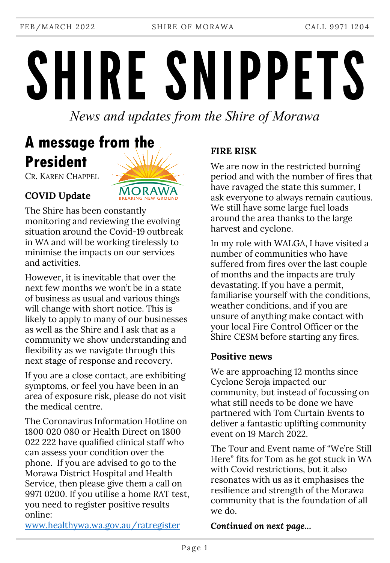FEB/MARCH 2022 SHIRE OF MORAWA CALL 9971 1204

SHIRE SNIPPETS

*News and updates from the Shire of Morawa*

# **A message from the President**

CR. KAREN CHAPPEL



**COVID Update**

The Shire has been constantly monitoring and reviewing the evolving situation around the Covid-19 outbreak in WA and will be working tirelessly to minimise the impacts on our services and activities.

However, it is inevitable that over the next few months we won't be in a state of business as usual and various things will change with short notice. This is likely to apply to many of our businesses as well as the Shire and I ask that as a community we show understanding and flexibility as we navigate through this next stage of response and recovery.

If you are a close contact, are exhibiting symptoms, or feel you have been in an area of exposure risk, please do not visit the medical centre.

The Coronavirus Information Hotline on 1800 020 080 or Health Direct on 1800 022 222 have qualified clinical staff who can assess your condition over the phone. If you are advised to go to the Morawa District Hospital and Health Service, then please give them a call on 9971 0200. If you utilise a home RAT test, you need to register positive results online:

### **FIRE RISK**

We are now in the restricted burning period and with the number of fires that have ravaged the state this summer, I ask everyone to always remain cautious. We still have some large fuel loads around the area thanks to the large harvest and cyclone.

In my role with WALGA, I have visited a number of communities who have suffered from fires over the last couple of months and the impacts are truly devastating. If you have a permit, familiarise yourself with the conditions, weather conditions, and if you are unsure of anything make contact with your local Fire Control Officer or the Shire CESM before starting any fires.

#### **Positive news**

We are approaching 12 months since Cyclone Seroja impacted our community, but instead of focussing on what still needs to be done we have partnered with Tom Curtain Events to deliver a fantastic uplifting community event on 19 March 2022.

The Tour and Event name of "We're Still Here" fits for Tom as he got stuck in WA with Covid restrictions, but it also resonates with us as it emphasises the resilience and strength of the Morawa community that is the foundation of all we do.

[www.healthywa.wa.gov.au/ratregister](http://www.healthywa.wa.gov.au/ratregister)

*Continued on next page…*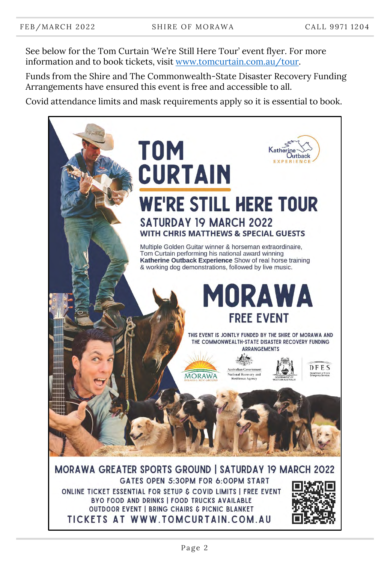See below for the Tom Curtain 'We're Still Here Tour' event flyer. For more information and to book tickets, visit [www.tomcurtain.com.au/tour.](http://www.tomcurtain.com.au/tour)

Funds from the Shire and The Commonwealth-State Disaster Recovery Funding Arrangements have ensured this event is free and accessible to all.

Covid attendance limits and mask requirements apply so it is essential to book.



TICKETS AT WWW.TOMCURTAIN.COM.AU

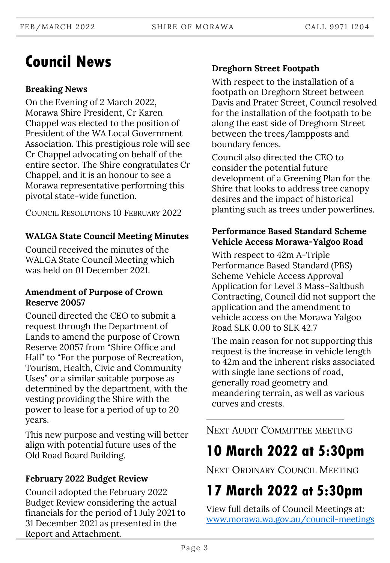## **Council News**

#### **Breaking News**

On the Evening of 2 March 2022, Morawa Shire President, Cr Karen Chappel was elected to the position of President of the WA Local Government Association. This prestigious role will see Cr Chappel advocating on behalf of the entire sector. The Shire congratulates Cr Chappel, and it is an honour to see a Morawa representative performing this pivotal state-wide function.

COUNCIL RESOLUTIONS 10 FEBRUARY 2022

#### **WALGA State Council Meeting Minutes**

Council received the minutes of the WALGA State Council Meeting which was held on 01 December 2021.

#### **Amendment of Purpose of Crown Reserve 20057**

Council directed the CEO to submit a request through the Department of Lands to amend the purpose of Crown Reserve 20057 from "Shire Office and Hall" to "For the purpose of Recreation, Tourism, Health, Civic and Community Uses" or a similar suitable purpose as determined by the department, with the vesting providing the Shire with the power to lease for a period of up to 20 years.

This new purpose and vesting will better align with potential future uses of the Old Road Board Building.

#### **February 2022 Budget Review**

Council adopted the February 2022 Budget Review considering the actual financials for the period of 1 July 2021 to 31 December 2021 as presented in the Report and Attachment.

### **Dreghorn Street Footpath**

With respect to the installation of a footpath on Dreghorn Street between Davis and Prater Street, Council resolved for the installation of the footpath to be along the east side of Dreghorn Street between the trees/lampposts and boundary fences.

Council also directed the CEO to consider the potential future development of a Greening Plan for the Shire that looks to address tree canopy desires and the impact of historical planting such as trees under powerlines.

#### **Performance Based Standard Scheme Vehicle Access Morawa-Yalgoo Road**

With respect to 42m A-Triple Performance Based Standard (PBS) Scheme Vehicle Access Approval Application for Level 3 Mass–Saltbush Contracting, Council did not support the application and the amendment to vehicle access on the Morawa Yalgoo Road SLK 0.00 to SLK 42.7

The main reason for not supporting this request is the increase in vehicle length to 42m and the inherent risks associated with single lane sections of road, generally road geometry and meandering terrain, as well as various curves and crests.

NEXT AUDIT COMMITTEE MEETING

### **10 March 2022 at 5:30pm**

NEXT ORDINARY COUNCIL MEETING

# **17 March 2022 at 5:30pm**

View full details of Council Meetings at: [www.morawa.wa.gov.au/council-meetings](http://www.morawa.wa.gov.au/council-meetings)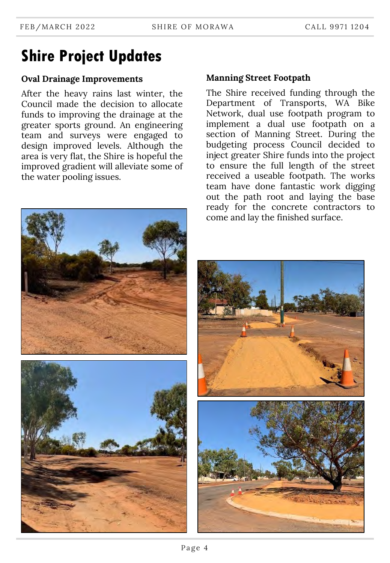# **Shire Project Updates**

#### **Oval Drainage Improvements**

After the heavy rains last winter, the Council made the decision to allocate funds to improving the drainage at the greater sports ground. An engineering team and surveys were engaged to design improved levels. Although the area is very flat, the Shire is hopeful the improved gradient will alleviate some of the water pooling issues.

#### **Manning Street Footpath**

The Shire received funding through the Department of Transports, WA Bike Network, dual use footpath program to implement a dual use footpath on a section of Manning Street. During the budgeting process Council decided to inject greater Shire funds into the project to ensure the full length of the street received a useable footpath. The works team have done fantastic work digging out the path root and laying the base ready for the concrete contractors to come and lay the finished surface.

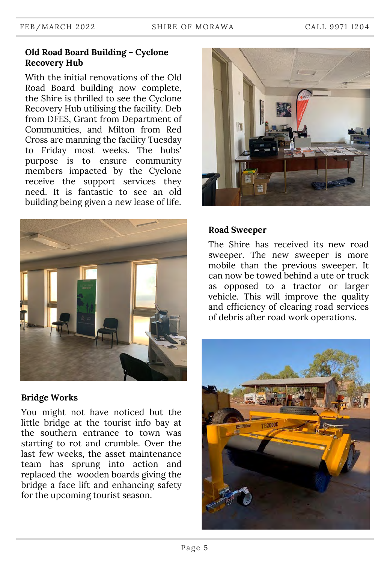#### **Old Road Board Building – Cyclone Recovery Hub**

With the initial renovations of the Old Road Board building now complete, the Shire is thrilled to see the Cyclone Recovery Hub utilising the facility. Deb from DFES, Grant from Department of Communities, and Milton from Red Cross are manning the facility Tuesday to Friday most weeks. The hubs' purpose is to ensure community members impacted by the Cyclone receive the support services they need. It is fantastic to see an old building being given a new lease of life.



#### **Bridge Works**

You might not have noticed but the little bridge at the tourist info bay at the southern entrance to town was starting to rot and crumble. Over the last few weeks, the asset maintenance team has sprung into action and replaced the wooden boards giving the bridge a face lift and enhancing safety for the upcoming tourist season.



#### **Road Sweeper**

The Shire has received its new road sweeper. The new sweeper is more mobile than the previous sweeper. It can now be towed behind a ute or truck as opposed to a tractor or larger vehicle. This will improve the quality and efficiency of clearing road services of debris after road work operations.

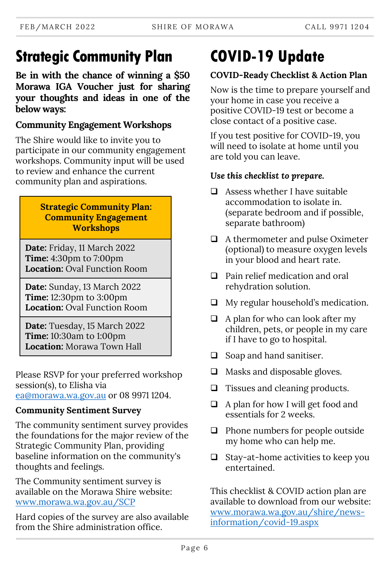# **Strategic Community Plan**

**Be in with the chance of winning a \$50 Morawa IGA Voucher just for sharing your thoughts and ideas in one of the below ways:**

### **Community Engagement Workshops**

The Shire would like to invite you to participate in our community engagement workshops. Community input will be used to review and enhance the current community plan and aspirations.

#### **Strategic Community Plan: Community Engagement Workshops**

**Date:** Friday, 11 March 2022 **Time:** 4:30pm to 7:00pm **Location:** Oval Function Room

**Date:** Sunday, 13 March 2022 **Time:** 12:30pm to 3:00pm **Location:** Oval Function Room

**Date:** Tuesday, 15 March 2022 **Time:** 10:30am to 1:00pm **Location:** Morawa Town Hall

Please RSVP for your preferred workshop session(s), to Elisha via [ea@morawa.wa.gov.au](mailto:ea@morawa.wa.gov.au) or 08 9971 1204.

### **Community Sentiment Survey**

The community sentiment survey provides the foundations for the major review of the Strategic Community Plan, providing baseline information on the community's thoughts and feelings.

The Community sentiment survey is available on the Morawa Shire website: [www.morawa.wa.gov.au/SCP](http://www.morawa.wa.gov.au/SCP)

Hard copies of the survey are also available from the Shire administration office.

# **COVID-19 Update**

### **COVID-Ready Checklist & Action Plan**

Now is the time to prepare yourself and your home in case you receive a positive COVID-19 test or become a close contact of a positive case.

If you test positive for COVID-19, you will need to isolate at home until you are told you can leave.

### *Use this checklist to prepare.*

- $\Box$  Assess whether I have suitable accommodation to isolate in. (separate bedroom and if possible, separate bathroom)
- $\Box$  A thermometer and pulse Oximeter (optional) to measure oxygen levels in your blood and heart rate.
- □ Pain relief medication and oral rehydration solution.
- $\Box$  My regular household's medication.
- $\Box$  A plan for who can look after my children, pets, or people in my care if I have to go to hospital.
- $\Box$  Soap and hand sanitiser.
- $\Box$  Masks and disposable gloves.
- $\Box$  Tissues and cleaning products.
- $\Box$  A plan for how I will get food and essentials for 2 weeks.
- $\Box$  Phone numbers for people outside my home who can help me.
- $\Box$  Stay-at-home activities to keep you entertained.

This checklist & COVID action plan are available to download from our website: [www.morawa.wa.gov.au/shire/news](https://www.morawa.wa.gov.au/shire/news-information/covid-19.aspx)information/covid-19.aspx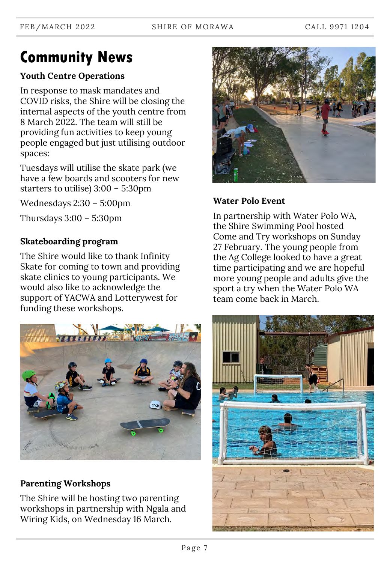# **Community News**

### **Youth Centre Operations**

In response to mask mandates and COVID risks, the Shire will be closing the internal aspects of the youth centre from 8 March 2022. The team will still be providing fun activities to keep young people engaged but just utilising outdoor spaces:

Tuesdays will utilise the skate park (we have a few boards and scooters for new starters to utilise) 3:00 – 5:30pm

Wednesdays 2:30 – 5:00pm

Thursdays 3:00 – 5:30pm

### **Skateboarding program**

The Shire would like to thank Infinity Skate for coming to town and providing skate clinics to young participants. We would also like to acknowledge the support of YACWA and Lotterywest for funding these workshops.



### **Parenting Workshops**

The Shire will be hosting two parenting workshops in partnership with Ngala and Wiring Kids, on Wednesday 16 March.



### **Water Polo Event**

In partnership with Water Polo WA, the Shire Swimming Pool hosted Come and Try workshops on Sunday 27 February. The young people from the Ag College looked to have a great time participating and we are hopeful more young people and adults give the sport a try when the Water Polo WA team come back in March.